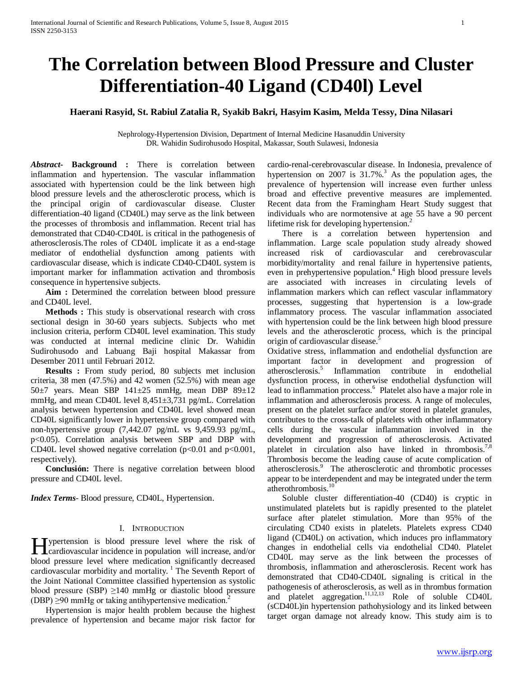# **The Correlation between Blood Pressure and Cluster Differentiation-40 Ligand (CD40l) Level**

# **Haerani Rasyid, St. Rabiul Zatalia R, Syakib Bakri, Hasyim Kasim, Melda Tessy, Dina Nilasari**

Nephrology-Hypertension Division, Department of Internal Medicine Hasanuddin University DR. Wahidin Sudirohusodo Hospital, Makassar, South Sulawesi, Indonesia

*Abstract***- Background :** There is correlation between inflammation and hypertension. The vascular inflammation associated with hypertension could be the link between high blood pressure levels and the atherosclerotic process, which is the principal origin of cardiovascular disease. Cluster differentiation-40 ligand (CD40L) may serve as the link between the processes of thrombosis and inflammation. Recent trial has demonstrated that CD40-CD40L is critical in the pathogenesis of atherosclerosis.The roles of CD40L implicate it as a end-stage mediator of endothelial dysfunction among patients with cardiovascular disease, which is indicate CD40-CD40L system is important marker for inflammation activation and thrombosis consequence in hypertensive subjects.

 **Aim :** Determined the correlation between blood pressure and CD40L level.

 **Methods :** This study is observational research with cross sectional design in 30-60 years subjects. Subjects who met inclusion criteria, perform CD40L level examination. This study was conducted at internal medicine clinic Dr. Wahidin Sudirohusodo and Labuang Baji hospital Makassar from Desember 2011 until Februari 2012.

 **Results :** From study period, 80 subjects met inclusion criteria, 38 men (47.5%) and 42 women (52.5%) with mean age 50 $\pm$ 7 years. Mean SBP 141 $\pm$ 25 mmHg, mean DBP 89 $\pm$ 12 mmHg, and mean CD40L level 8,451±3,731 pg/mL. Correlation analysis between hypertension and CD40L level showed mean CD40L significantly lower in hypertensive group compared with non-hypertensive group (7,442.07 pg/mL vs 9,459.93 pg/mL, p<0.05). Correlation analysis between SBP and DBP with CD40L level showed negative correlation ( $p<0.01$  and  $p<0.001$ , respectively).

 **Conclusión:** There is negative correlation between blood pressure and CD40L level.

*Index Terms*- Blood pressure, CD40L, Hypertension.

## I. INTRODUCTION

Typertension is blood pressure level where the risk of **H** ypertension is blood pressure level where the risk of cardiovascular incidence in population will increase, and/or blood pressure level where medication significantly decreased cardiovascular morbidity and mortality.<sup>1</sup> The Seventh Report of the Joint National Committee classified hypertension as systolic blood pressure (SBP)  $\geq$ 140 mmHg or diastolic blood pressure (DBP)  $\geq$ 90 mmHg or taking antihypertensive medication.<sup>2</sup>

 Hypertension is major health problem because the highest prevalence of hypertension and became major risk factor for

cardio-renal-cerebrovascular disease. In Indonesia, prevalence of hypertension on 2007 is  $31.7\%$ <sup>3</sup>. As the population ages, the prevalence of hypertension will increase even further unless broad and effective preventive measures are implemented. Recent data from the Framingham Heart Study suggest that individuals who are normotensive at age 55 have a 90 percent lifetime risk for developing hypertension.<sup>2</sup>

 There is a correlation between hypertension and inflammation. Large scale population study already showed increased risk of cardiovascular and cerebrovascular morbidity/mortality and renal failure in hypertensive patients, even in prehypertensive population.<sup>4</sup> High blood pressure levels are associated with increases in circulating levels of inflammation markers which can reflect vascular inflammatory processes, suggesting that hypertension is a low-grade inflammatory process. The vascular inflammation associated with hypertension could be the link between high blood pressure levels and the atherosclerotic process, which is the principal origin of cardiovascular disease.<sup>5</sup>

Oxidative stress, inflammation and endothelial dysfunction are important factor in development and progression of atherosclerosis.<sup>5</sup> Inflammation contribute in endothelial dysfunction process, in otherwise endothelial dysfunction will lead to inflammation proccess.<sup>6</sup> Platelet also have a major role in inflammation and atherosclerosis process. A range of molecules, present on the platelet surface and/or stored in platelet granules, contributes to the cross-talk of platelets with other inflammatory cells during the vascular inflammation involved in the development and progression of atherosclerosis. Activated platelet in circulation also have linked in thrombosis.<sup>7,8</sup> Thrombosis become the leading cause of acute complication of atherosclerosis.<sup>9</sup> The atherosclerotic and thrombotic processes appear to be interdependent and may be integrated under the term atherothrombosis.<sup>10</sup>

 Soluble cluster differentiation-40 (CD40) is cryptic in unstimulated platelets but is rapidly presented to the platelet surface after platelet stimulation. More than 95% of the circulating CD40 exists in platelets. Platelets express CD40 ligand (CD40L) on activation, which induces pro inflammatory changes in endothelial cells via endothelial CD40. Platelet CD40L may serve as the link between the processes of thrombosis, inflammation and atherosclerosis. Recent work has demonstrated that CD40-CD40L signaling is critical in the pathogenesis of atherosclerosis, as well as in thrombus formation and platelet aggregation. $11,12,13$  Role of soluble CD40L (sCD40L)in hypertension pathohysiology and its linked between target organ damage not already know. This study aim is to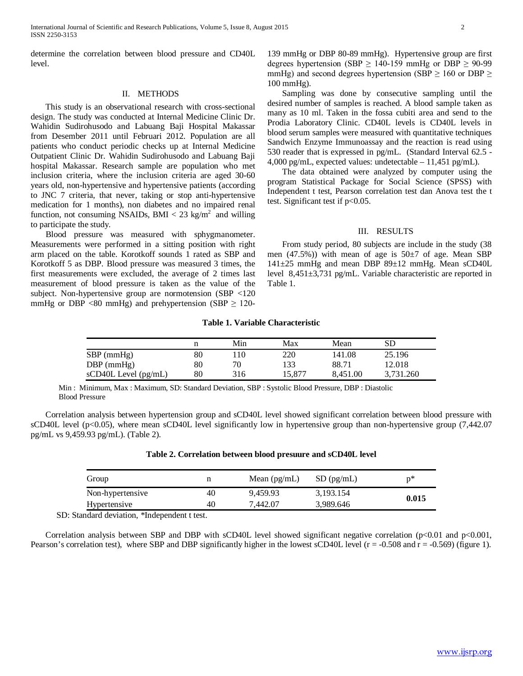determine the correlation between blood pressure and CD40L level.

## II. METHODS

 This study is an observational research with cross-sectional design. The study was conducted at Internal Medicine Clinic Dr. Wahidin Sudirohusodo and Labuang Baji Hospital Makassar from Desember 2011 until Februari 2012. Population are all patients who conduct periodic checks up at Internal Medicine Outpatient Clinic Dr. Wahidin Sudirohusodo and Labuang Baji hospital Makassar. Research sample are population who met inclusion criteria, where the inclusion criteria are aged 30-60 years old, non-hypertensive and hypertensive patients (according to JNC 7 criteria, that never, taking or stop anti-hypertensive medication for 1 months), non diabetes and no impaired renal function, not consuming NSAIDs, BMI  $<$  23 kg/m<sup>2</sup> and willing to participate the study.

 Blood pressure was measured with sphygmanometer. Measurements were performed in a sitting position with right arm placed on the table. Korotkoff sounds 1 rated as SBP and Korotkoff 5 as DBP. Blood pressure was measured 3 times, the first measurements were excluded, the average of 2 times last measurement of blood pressure is taken as the value of the subject. Non-hypertensive group are normotension (SBP <120 mmHg or DBP <80 mmHg) and prehypertension (SBP  $\geq$  120-

 Sampling was done by consecutive sampling until the desired number of samples is reached. A blood sample taken as many as 10 ml. Taken in the fossa cubiti area and send to the Prodia Laboratory Clinic. CD40L levels is CD40L levels in blood serum samples were measured with quantitative techniques Sandwich Enzyme Immunoassay and the reaction is read using 530 reader that is expressed in pg/mL. (Standard Interval 62.5 - 4,000 pg/mL, expected values: undetectable – 11,451 pg/mL).

 The data obtained were analyzed by computer using the program Statistical Package for Social Science (SPSS) with Independent t test, Pearson correlation test dan Anova test the t test. Significant test if  $p<0.05$ .

### III. RESULTS

 From study period, 80 subjects are include in the study (38 men  $(47.5\%)$  with mean of age is  $50\pm7$  of age. Mean SBP 141±25 mmHg and mean DBP 89±12 mmHg. Mean sCD40L level 8,451±3,731 pg/mL. Variable characteristic are reported in Table 1.

#### **Table 1. Variable Characteristic**

|                            |    | Min | Max    | Mean     | SD        |
|----------------------------|----|-----|--------|----------|-----------|
| $SBP$ (mmHg)               | 80 | 10  | 220    | 141.08   | 25.196    |
| $DBP$ (mmHg)               | 80 | 70  | 133    | 88.71    | 12.018    |
| $sCD40L$ Level ( $pg/mL$ ) | 80 | 316 | 15.877 | 8.451.00 | 3.731.260 |

Min : Minimum, Max : Maximum, SD: Standard Deviation, SBP : Systolic Blood Pressure, DBP : Diastolic Blood Pressure

 Correlation analysis between hypertension group and sCD40L level showed significant correlation between blood pressure with sCD40L level ( $p<0.05$ ), where mean sCD40L level significantly low in hypertensive group than non-hypertensive group (7,442.07) pg/mL vs 9,459.93 pg/mL). (Table 2).

| Group                     |    | Mean $(pg/mL)$ | $SD$ (pg/mL) | p*    |
|---------------------------|----|----------------|--------------|-------|
| Non-hypertensive          | 40 | 9.459.93       | 3,193.154    | 0.015 |
| Hypertensive              | 40 | 7.442.07       | 3,989.646    |       |
| .<br>$\sim$ $\sim$ $\sim$ |    |                |              |       |

#### **Table 2. Correlation between blood presuure and sCD40L level**

SD: Standard deviation, *\**Independent t test.

Correlation analysis between SBP and DBP with sCD40L level showed significant negative correlation ( $p<0.01$  and  $p<0.001$ , Pearson's correlation test), where SBP and DBP significantly higher in the lowest sCD40L level  $(r = -0.508$  and  $r = -0.569)$  (figure 1).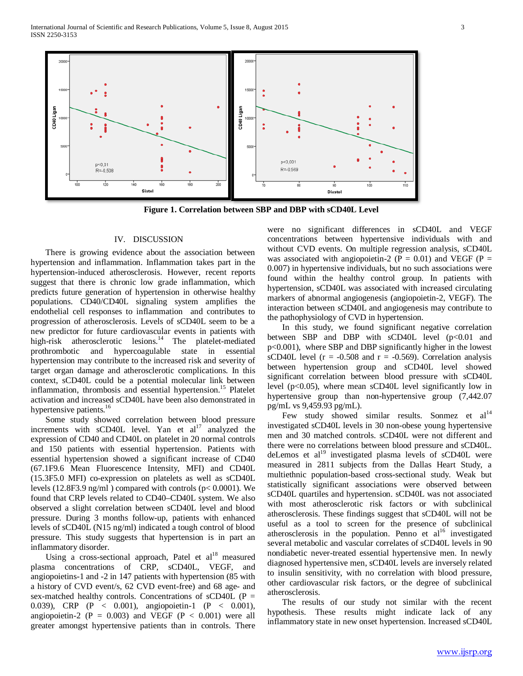

**Figure 1. Correlation between SBP and DBP with sCD40L Level**

# IV. DISCUSSION

 There is growing evidence about the association between hypertension and inflammation. Inflammation takes part in the hypertension-induced atherosclerosis. However, recent reports suggest that there is chronic low grade inflammation, which predicts future generation of hypertension in otherwise healthy populations. CD40/CD40L signaling system amplifies the endothelial cell responses to inflammation and contributes to progression of atherosclerosis. Levels of sCD40L seem to be a new predictor for future cardiovascular events in patients with high-risk atherosclerotic lesions.<sup>14</sup> The platelet-mediated prothrombotic and hypercoagulable state in essential hypertension may contribute to the increased risk and severity of target organ damage and atherosclerotic complications. In this context, sCD40L could be a potential molecular link between inflammation, thrombosis and essential hypertension.<sup>15</sup> Platelet activation and increased sCD40L have been also demonstrated in hypertensive patients.<sup>16</sup>

 Some study showed correlation between blood pressure increments with  $\text{sCD40L}$  level. Yan et al<sup>17</sup> analyzed the expression of CD40 and CD40L on platelet in 20 normal controls and 150 patients with essential hypertension. Patients with essential hypertension showed a significant increase of CD40 (67.1F9.6 Mean Fluorescence Intensity, MFI) and CD40L (15.3F5.0 MFI) co-expression on platelets as well as sCD40L levels (12.8F3.9 ng/ml ) compared with controls (p< 0.0001). We found that CRP levels related to CD40–CD40L system. We also observed a slight correlation between sCD40L level and blood pressure. During 3 months follow-up, patients with enhanced levels of sCD40L (N15 ng/ml) indicated a tough control of blood pressure. This study suggests that hypertension is in part an inflammatory disorder.

Using a cross-sectional approach, Patel et  $al^{18}$  measured plasma concentrations of CRP, sCD40L, VEGF, and angiopoietins-1 and -2 in 147 patients with hypertension (85 with a history of CVD event/s, 62 CVD event-free) and 68 age- and sex-matched healthy controls. Concentrations of sCD40L (P = 0.039), CRP (P < 0.001), angiopoietin-1 (P < 0.001), angiopoietin-2 ( $P = 0.003$ ) and VEGF ( $P < 0.001$ ) were all greater amongst hypertensive patients than in controls. There were no significant differences in sCD40L and VEGF concentrations between hypertensive individuals with and without CVD events. On multiple regression analysis, sCD40L was associated with angiopoietin-2 ( $P = 0.01$ ) and VEGF ( $P =$ 0.007) in hypertensive individuals, but no such associations were found within the healthy control group. In patients with hypertension, sCD40L was associated with increased circulating markers of abnormal angiogenesis (angiopoietin-2, VEGF). The interaction between sCD40L and angiogenesis may contribute to the pathophysiology of CVD in hypertension.

 In this study, we found significant negative correlation between SBP and DBP with sCD40L level (p<0.01 and p<0.001), where SBP and DBP significantly higher in the lowest sCD40L level ( $r = -0.508$  and  $r = -0.569$ ). Correlation analysis between hypertension group and sCD40L level showed significant correlation between blood pressure with sCD40L level (p<0.05), where mean sCD40L level significantly low in hypertensive group than non-hypertensive group (7,442.07 pg/mL vs 9,459.93 pg/mL).

Few study showed similar results. Sonmez et al<sup>14</sup> investigated sCD40L levels in 30 non-obese young hypertensive men and 30 matched controls. sCD40L were not different and there were no correlations between blood pressure and sCD40L. deLemos et  $al<sup>19</sup>$  investigated plasma levels of sCD40L were measured in 2811 subjects from the Dallas Heart Study, a multiethnic population-based cross-sectional study. Weak but statistically significant associations were observed between sCD40L quartiles and hypertension. sCD40L was not associated with most atherosclerotic risk factors or with subclinical atherosclerosis. These findings suggest that sCD40L will not be useful as a tool to screen for the presence of subclinical atherosclerosis in the population. Penno et  $al<sup>16</sup>$  investigated several metabolic and vascular correlates of sCD40L levels in 90 nondiabetic never-treated essential hypertensive men. In newly diagnosed hypertensive men, sCD40L levels are inversely related to insulin sensitivity, with no correlation with blood pressure, other cardiovascular risk factors, or the degree of subclinical atherosclerosis.

 The results of our study not similar with the recent hypothesis. These results might indicate lack of any inflammatory state in new onset hypertension. Increased sCD40L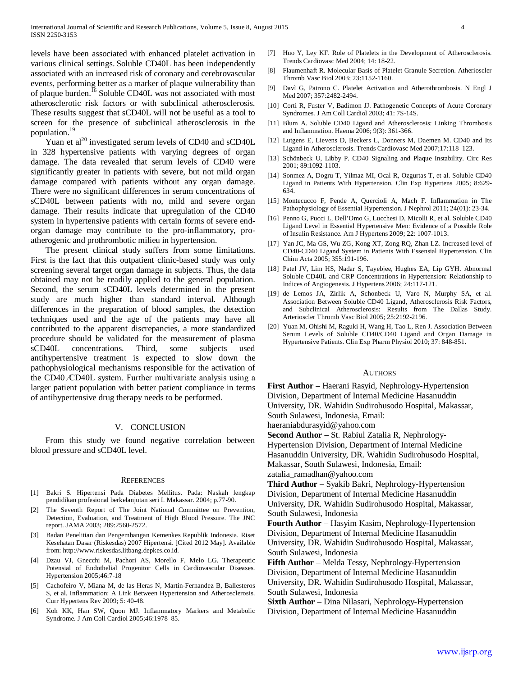levels have been associated with enhanced platelet activation in various clinical settings. Soluble CD40L has been independently associated with an increased risk of coronary and cerebrovascular events, performing better as a marker of plaque vulnerability than of plaque burden.<sup>16</sup> Soluble CD40L was not associated with most atherosclerotic risk factors or with subclinical atherosclerosis. These results suggest that sCD40L will not be useful as a tool to screen for the presence of subclinical atherosclerosis in the population.19

Yuan et al<sup>20</sup> investigated serum levels of CD40 and sCD40L in 328 hypertensive patients with varying degrees of organ damage. The data revealed that serum levels of CD40 were significantly greater in patients with severe, but not mild organ damage compared with patients without any organ damage. There were no significant differences in serum concentrations of sCD40L between patients with no, mild and severe organ damage. Their results indicate that upregulation of the CD40 system in hypertensive patients with certain forms of severe endorgan damage may contribute to the pro-inflammatory, proatherogenic and prothrombotic milieu in hypertension.

 The present clinical study suffers from some limitations. First is the fact that this outpatient clinic-based study was only screening several target organ damage in subjects. Thus, the data obtained may not be readily applied to the general population. Second, the serum sCD40L levels determined in the present study are much higher than standard interval. Although differences in the preparation of blood samples, the detection techniques used and the age of the patients may have all contributed to the apparent discrepancies, a more standardized procedure should be validated for the measurement of plasma sCD40L concentrations. Third, some subjects used antihypertensive treatment is expected to slow down the pathophysiological mechanisms responsible for the activation of the CD40 ⁄CD40L system. Further multivariate analysis using a larger patient population with better patient compliance in terms of antihypertensive drug therapy needs to be performed.

#### V. CONCLUSION

 From this study we found negative correlation between blood pressure and sCD40L level.

#### **REFERENCES**

- [1] Bakri S. Hipertensi Pada Diabetes Mellitus. Pada: Naskah lengkap pendidikan profesional berkelanjutan seri I. Makassar. 2004; p.77-90.
- [2] The Seventh Report of The Joint National Committee on Prevention, Detection, Evaluation, and Treatment of High Blood Pressure. The JNC report. JAMA 2003; 289:2560-2572.
- [3] Badan Penelitian dan Pengembangan Kemenkes Republik Indonesia. Riset Kesehatan Dasar (Riskesdas) 2007 Hipertensi. [Cited 2012 May]. Available from: http://www.riskesdas.litbang.depkes.co.id.
- [4] Dzau VJ, Gnecchi M, Pachori AS, Morello F, Melo LG. Therapeutic Potensial of Endothelial Progenitor Cells in Cardiovascular Diseases. Hypertension 2005;46:7-18
- [5] Cachofeiro V, Miana M, de las Heras N, Martin-Fernandez B, Ballesteros S, et al. Inflammation: A Link Between Hypertension and Atherosclerosis. Curr Hypertens Rev 2009; 5: 40-48.
- [6] Koh KK, Han SW, Quon MJ. Inflammatory Markers and Metabolic Syndrome. J Am Coll Cardiol 2005;46:1978–85.
- [7] Huo Y, Ley KF. Role of Platelets in the Development of Atherosclerosis. Trends Cardiovasc Med 2004; 14: 18-22.
- [8] Flaumenhaft R. Molecular Basis of Platelet Granule Secretion. Atherioscler Thromb Vasc Biol 2003; 23:1152-1160.
- [9] Davì G, Patrono C. Platelet Activation and Atherothrombosis. N Engl J Med 2007; 357:2482-2494.
- [10] Corti R, Fuster V, Badimon JJ. Pathogenetic Concepts of Acute Coronary Syndromes. J Am Coll Cardiol 2003; 41: 7S-14S.
- [11] Blum A. Soluble CD40 Ligand and Atherosclerosis: Linking Thrombosis and Inflammation. Haema 2006; 9(3): 361-366.
- [12] Lutgens E, Lievens D, Beckers L, Donners M, Daemen M. CD40 and Its Ligand in Atherosclerosis. Trends Cardiovasc Med 2007;17:118–123.
- [13] Schönbeck U, Libby P. CD40 Signaling and Plaque Instability. Circ Res 2001; 89:1092-1103.
- [14] Sonmez A, Dogru T, Yilmaz MI, Ocal R, Ozgurtas T, et al. Soluble CD40 Ligand in Patients With Hypertension. Clin Exp Hypertens 2005; 8:629- 634.
- [15] Montecucco F, Pende A, Quercioli A, Mach F. Inflammation in The Pathophysiology of Essential Hypertension. J Nephrol 2011; 24(01): 23-34.
- [16] Penno G, Pucci L, Dell'Omo G, Lucchesi D, Micolli R, et al. Soluble CD40 Ligand Level in Essential Hypertensive Men: Evidence of a Possible Role of Insulin Resistance. Am J Hypertens 2009; 22: 1007-1013.
- [17] Yan JC, Ma GS, Wu ZG, Kong XT, Zong RQ, Zhan LZ. Increased level of CD40-CD40 Ligand System in Patients With Essensial Hypertension. Clin Chim Acta 2005; 355:191-196.
- [18] Patel JV, Lim HS, Nadar S, Tayebjee, Hughes EA, Lip GYH. Abnormal Soluble CD40L and CRP Concentrations in Hypertension: Relationship to Indices of Angiogenesis. J Hypertens 2006; 24:117-121.
- [19] de Lemos JA, Zirlik A, Schonbeck U, Varo N, Murphy SA, et al. Association Between Soluble CD40 Ligand, Atherosclerosis Risk Factors, and Subclinical Atherosclerosis: Results from The Dallas Study. Arterioscler Thromb Vasc Biol 2005; 25:2192-2196.
- [20] Yuan M, Ohishi M, Raguki H, Wang H, Tao L, Ren J. Association Between Serum Levels of Soluble CD40/CD40 Ligand and Organ Damage in Hypertensive Patients. Clin Exp Pharm Physiol 2010; 37: 848-851.

#### AUTHORS

**First Author** – Haerani Rasyid, Nephrology-Hypertension Division, Department of Internal Medicine Hasanuddin University, DR. Wahidin Sudirohusodo Hospital, Makassar, South Sulawesi, Indonesia, Email:

haeraniabdurasyid@yahoo.com

**Second Author** – St. Rabiul Zatalia R, Nephrology-Hypertension Division, Department of Internal Medicine Hasanuddin University, DR. Wahidin Sudirohusodo Hospital, Makassar, South Sulawesi, Indonesia, Email: zatalia\_ramadhan@yahoo.com

**Third Author** – Syakib Bakri, Nephrology-Hypertension Division, Department of Internal Medicine Hasanuddin University, DR. Wahidin Sudirohusodo Hospital, Makassar, South Sulawesi, Indonesia

**Fourth Author** – Hasyim Kasim, Nephrology-Hypertension Division, Department of Internal Medicine Hasanuddin University, DR. Wahidin Sudirohusodo Hospital, Makassar, South Sulawesi, Indonesia

**Fifth Author** – Melda Tessy, Nephrology-Hypertension Division, Department of Internal Medicine Hasanuddin University, DR. Wahidin Sudirohusodo Hospital, Makassar, South Sulawesi, Indonesia

**Sixth Author** – Dina Nilasari, Nephrology-Hypertension Division, Department of Internal Medicine Hasanuddin